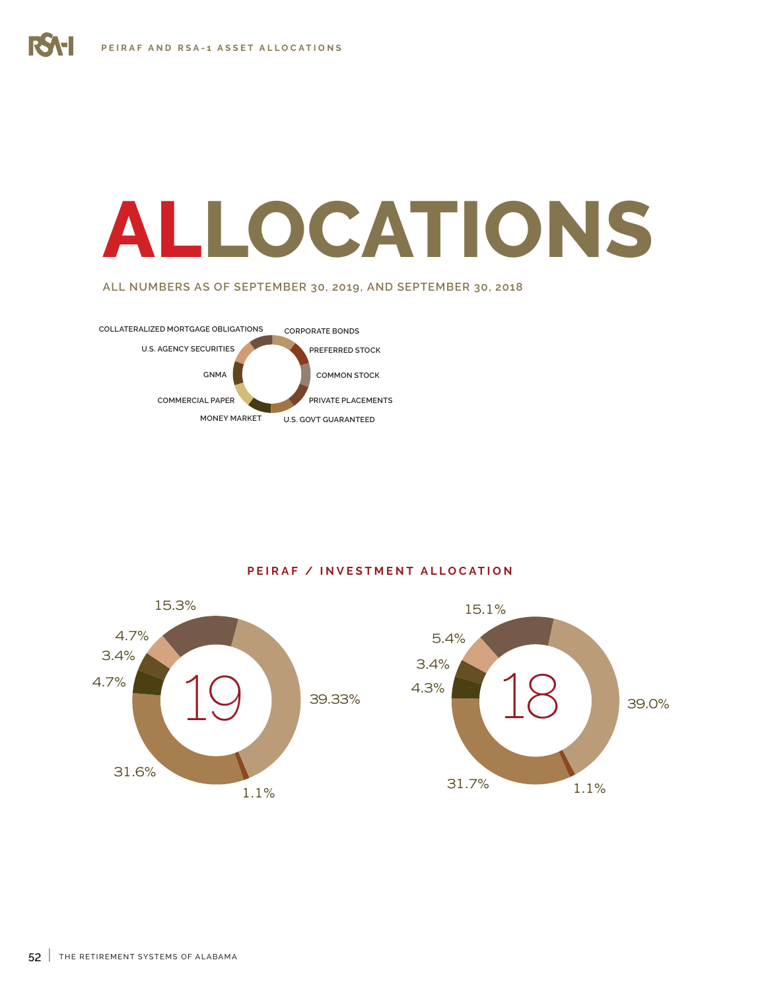## **ALLOCATIONS**

**ALL NUMBERS AS OF SEPTEMBER 30, 2019, AND SEPTEMBER 30, 2018**